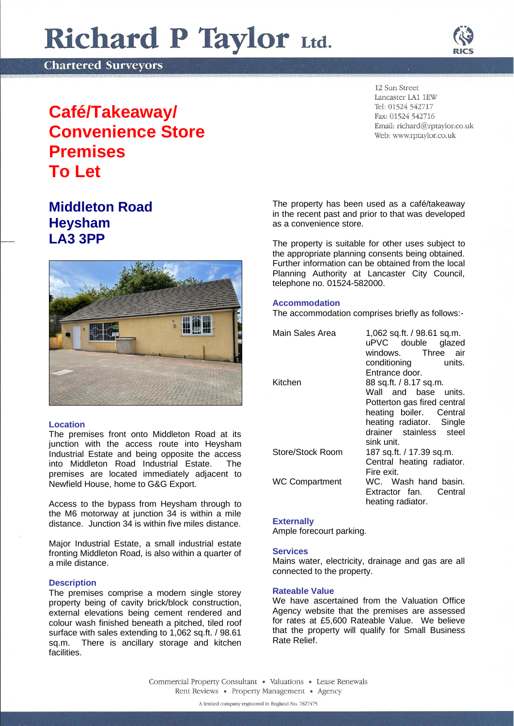# Richard P Taylor Ltd.

**Chartered Surveyors** 



## **Café/Takeaway/ Convenience Store Premises To Let**

### **Middleton Road Heysham LA3 3PP**



#### **Location**

The premises front onto Middleton Road at its junction with the access route into Heysham Industrial Estate and being opposite the access into Middleton Road Industrial Estate. The premises are located immediately adjacent to Newfield House, home to G&G Export.

Access to the bypass from Heysham through to the M6 motorway at junction  $34$  is within a mile distance. Junction 34 is within five miles distance.

Major Industrial Estate, a small industrial estate fronting Middleton Road, is also within a quarter of a mile distance.

#### **Description**

The premises comprise a modern single storey property being of cavity brick/block construction, external elevations being cement rendered and colour wash finished beneath a pitched, tiled roof surface with sales extending to 1,062 sq.ft. / 98.61 sq.m. There is ancillary storage and kitchen facilities.

12 Sun Street Lancaster LA1 1EW Tel: 01524 542717 Fax: 01524 542716 Email: richard@rptaylor.co.uk Web: www.rptaylor.co.uk

The property has been used as a café/takeaway in the recent past and prior to that was developed as a convenience store.

The property is suitable for other uses subject to the appropriate planning consents being obtained. Further information can be obtained from the local Planning Authority at Lancaster City Council, telephone no. 01524-582000.

#### **Accommodation**

The accommodation comprises briefly as follows:-

| 1,062 sq.ft. / 98.61 sq.m.<br>uPVC double glazed |
|--------------------------------------------------|
| windows. Three air                               |
| conditioning units.                              |
| Entrance door.                                   |
| 88 sq.ft. / 8.17 sq.m.                           |
| Wall and base units.                             |
| Potterton gas fired central                      |
| heating boiler. Central                          |
| heating radiator. Single                         |
| drainer stainless steel<br>sink unit.            |
| 187 sq.ft. / 17.39 sq.m.                         |
| Central heating radiator.                        |
| Fire exit.                                       |
| WC. Wash hand basin.                             |
| Extractor fan. Central                           |
| heating radiator.                                |
|                                                  |

#### **Externally**

Ample forecourt parking.

#### **Services**

Mains water, electricity, drainage and gas are all connected to the property.

#### **Rateable Value**

We have ascertained from the Valuation Office Agency website that the premises are assessed for rates at £5,600 Rateable Value. We believe that the property will qualify for Small Business Rate Relief.

Commercial Property Consultant . Valuations . Lease Renewals Rent Reviews • Property Management • Agency